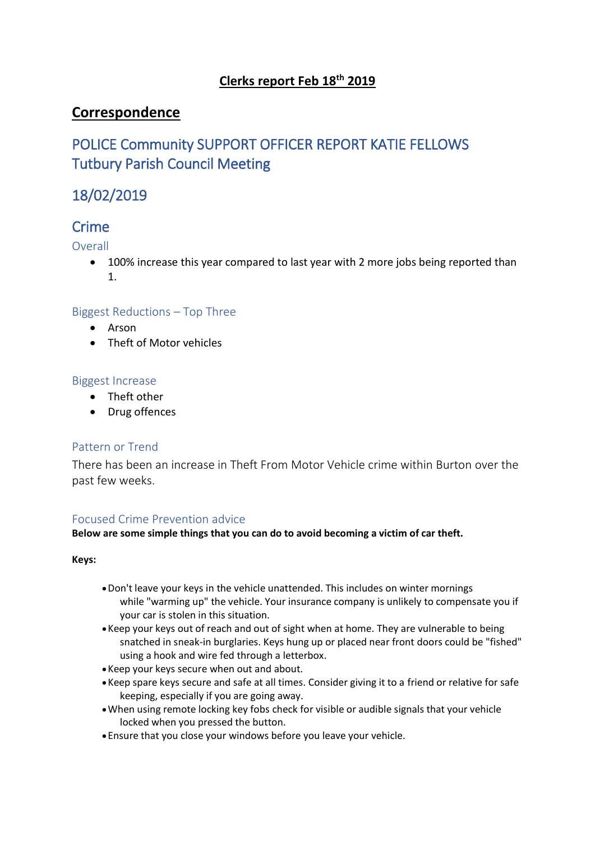### **Clerks report Feb 18th 2019**

### **Correspondence**

# POLICE Community SUPPORT OFFICER REPORT KATIE FELLOWS Tutbury Parish Council Meeting

# 18/02/2019

## **Crime**

Overall

• 100% increase this year compared to last year with 2 more jobs being reported than 1.

### Biggest Reductions – Top Three

- Arson
- Theft of Motor vehicles

### Biggest Increase

- Theft other
- Drug offences

### Pattern or Trend

There has been an increase in Theft From Motor Vehicle crime within Burton over the past few weeks.

### Focused Crime Prevention advice

**Below are some simple things that you can do to avoid becoming a victim of car theft.**

**Keys:**

- •Don't leave your keys in the vehicle unattended. This includes on winter mornings while "warming up" the vehicle. Your insurance company is unlikely to compensate you if your car is stolen in this situation.
- •Keep your keys out of reach and out of sight when at home. They are vulnerable to being snatched in sneak-in burglaries. Keys hung up or placed near front doors could be "fished" using a hook and wire fed through a letterbox.
- •Keep your keys secure when out and about.
- •Keep spare keys secure and safe at all times. Consider giving it to a friend or relative for safe keeping, especially if you are going away.
- •When using remote locking key fobs check for visible or audible signals that your vehicle locked when you pressed the button.
- Ensure that you close your windows before you leave your vehicle.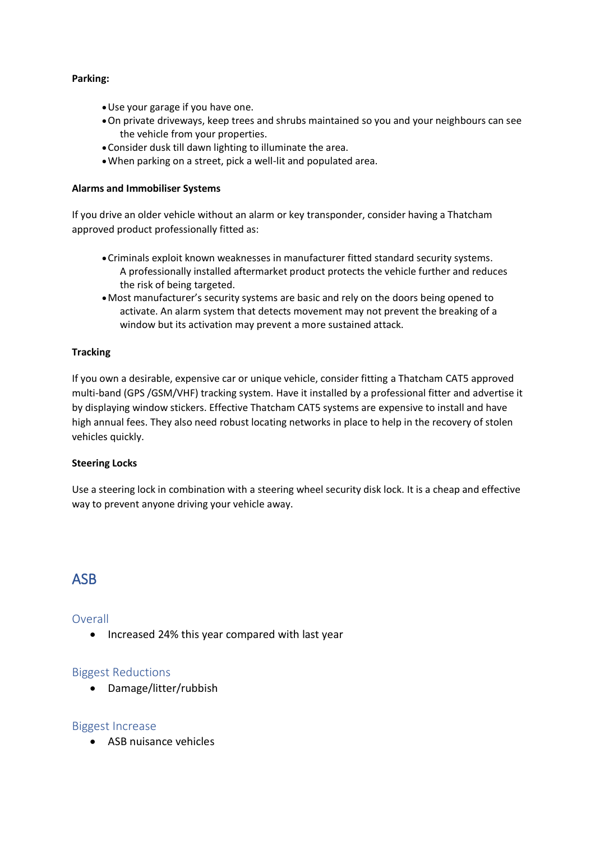### **Parking:**

- •Use your garage if you have one.
- •On private driveways, keep trees and shrubs maintained so you and your neighbours can see the vehicle from your properties.
- •Consider dusk till dawn lighting to illuminate the area.
- •When parking on a street, pick a well-lit and populated area.

#### **Alarms and Immobiliser Systems**

If you drive an older vehicle without an alarm or key transponder, consider having a Thatcham approved product professionally fitted as:

- •Criminals exploit known weaknesses in manufacturer fitted standard security systems. A professionally installed aftermarket product protects the vehicle further and reduces the risk of being targeted.
- •Most manufacturer's security systems are basic and rely on the doors being opened to activate. An alarm system that detects movement may not prevent the breaking of a window but its activation may prevent a more sustained attack.

### **Tracking**

If you own a desirable, expensive car or unique vehicle, consider fitting a Thatcham CAT5 approved multi-band (GPS /GSM/VHF) tracking system. Have it installed by a professional fitter and advertise it by displaying window stickers. Effective Thatcham CAT5 systems are expensive to install and have high annual fees. They also need robust locating networks in place to help in the recovery of stolen vehicles quickly.

#### **Steering Locks**

Use a steering lock in combination with a steering wheel security disk lock. It is a cheap and effective way to prevent anyone driving your vehicle away.

### ASB

### Overall

• Increased 24% this year compared with last year

### Biggest Reductions

• Damage/litter/rubbish

### Biggest Increase

• ASB nuisance vehicles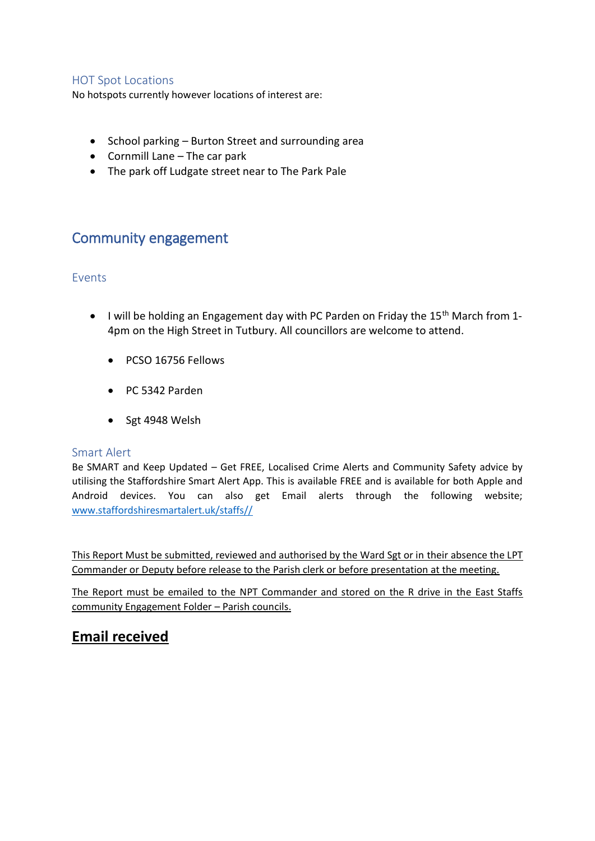### HOT Spot Locations

No hotspots currently however locations of interest are:

- School parking Burton Street and surrounding area
- Cornmill Lane The car park
- The park off Ludgate street near to The Park Pale

### Community engagement

### Events

- I will be holding an Engagement day with PC Parden on Friday the 15<sup>th</sup> March from 1-4pm on the High Street in Tutbury. All councillors are welcome to attend.
	- PCSO 16756 Fellows
	- PC 5342 Parden
	- Sgt 4948 Welsh

### Smart Alert

Be SMART and Keep Updated – Get FREE, Localised Crime Alerts and Community Safety advice by utilising the Staffordshire Smart Alert App. This is available FREE and is available for both Apple and Android devices. You can also get Email alerts through the following website; [www.staffordshiresmartalert.uk/staffs//](http://www.staffordshiresmartalert.uk/staffs/)

This Report Must be submitted, reviewed and authorised by the Ward Sgt or in their absence the LPT Commander or Deputy before release to the Parish clerk or before presentation at the meeting.

The Report must be emailed to the NPT Commander and stored on the R drive in the East Staffs community Engagement Folder – Parish councils.

### **Email received**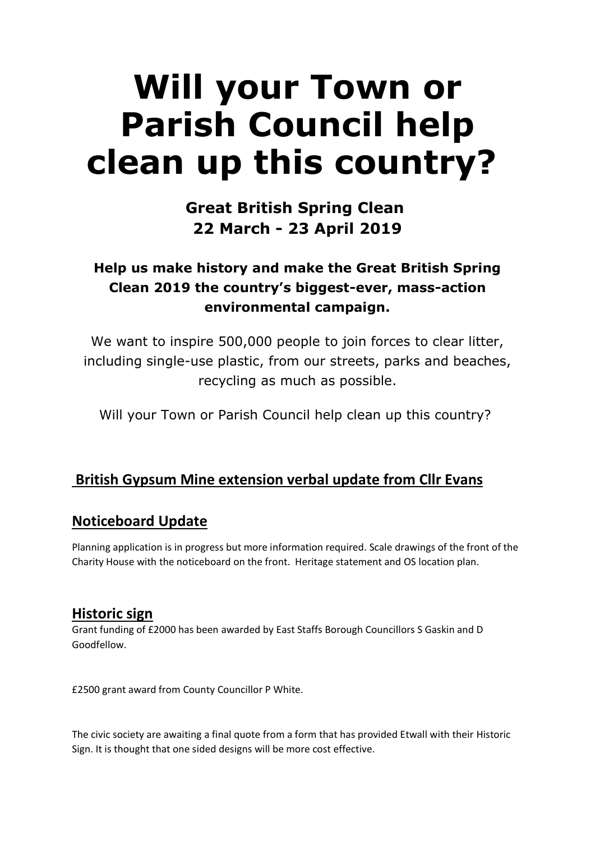# **Will your Town or Parish Council help clean up this country?**

# **Great British Spring Clean 22 March - 23 April 2019**

# **Help us make history and make the Great British Spring Clean 2019 the country's biggest-ever, mass-action environmental campaign.**

We want to inspire 500,000 people to join forces to clear litter, including single-use plastic, from our streets, parks and beaches, recycling as much as possible.

Will your Town or Parish Council help clean up this country?

# **British Gypsum Mine extension verbal update from Cllr Evans**

# **Noticeboard Update**

Planning application is in progress but more information required. Scale drawings of the front of the Charity House with the noticeboard on the front. Heritage statement and OS location plan.

# **Historic sign**

Grant funding of £2000 has been awarded by East Staffs Borough Councillors S Gaskin and D Goodfellow.

£2500 grant award from County Councillor P White.

The civic society are awaiting a final quote from a form that has provided Etwall with their Historic Sign. It is thought that one sided designs will be more cost effective.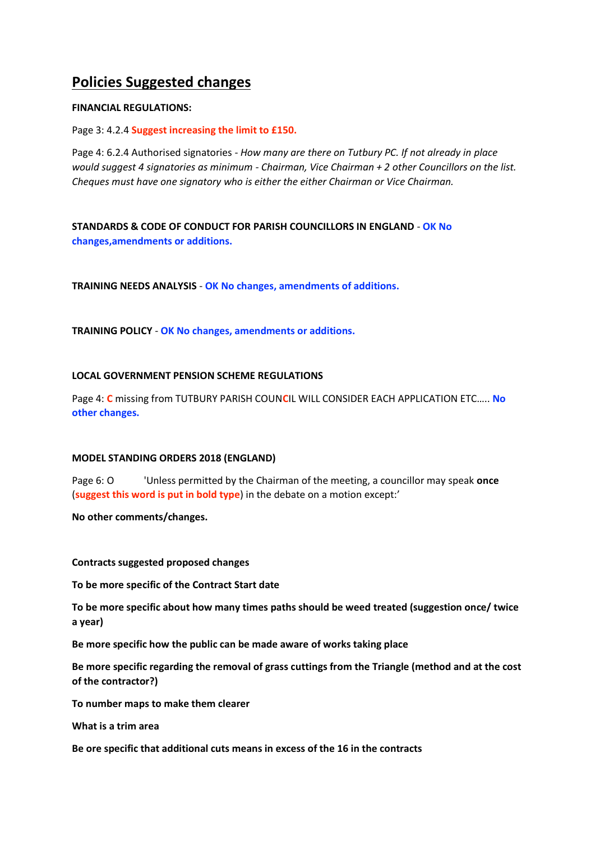# **Policies Suggested changes**

### **FINANCIAL REGULATIONS:**

Page 3: 4.2.4 **Suggest increasing the limit to £150.**

Page 4: 6.2.4 Authorised signatories - *How many are there on Tutbury PC. If not already in place would suggest 4 signatories as minimum - Chairman, Vice Chairman + 2 other Councillors on the list. Cheques must have one signatory who is either the either Chairman or Vice Chairman.*

**STANDARDS & CODE OF CONDUCT FOR PARISH COUNCILLORS IN ENGLAND** - **OK No changes,amendments or additions.**

**TRAINING NEEDS ANALYSIS** - **OK No changes, amendments of additions.**

**TRAINING POLICY** - **OK No changes, amendments or additions.**

### **LOCAL GOVERNMENT PENSION SCHEME REGULATIONS**

Page 4: **C** missing from TUTBURY PARISH COUN**C**IL WILL CONSIDER EACH APPLICATION ETC….. **No other changes.**

#### **MODEL STANDING ORDERS 2018 (ENGLAND)**

Page 6: O 'Unless permitted by the Chairman of the meeting, a councillor may speak **once**  (**suggest this word is put in bold type**) in the debate on a motion except:'

**No other comments/changes.**

**Contracts suggested proposed changes**

**To be more specific of the Contract Start date**

**To be more specific about how many times paths should be weed treated (suggestion once/ twice a year)**

**Be more specific how the public can be made aware of works taking place**

**Be more specific regarding the removal of grass cuttings from the Triangle (method and at the cost of the contractor?)**

**To number maps to make them clearer**

**What is a trim area**

**Be ore specific that additional cuts means in excess of the 16 in the contracts**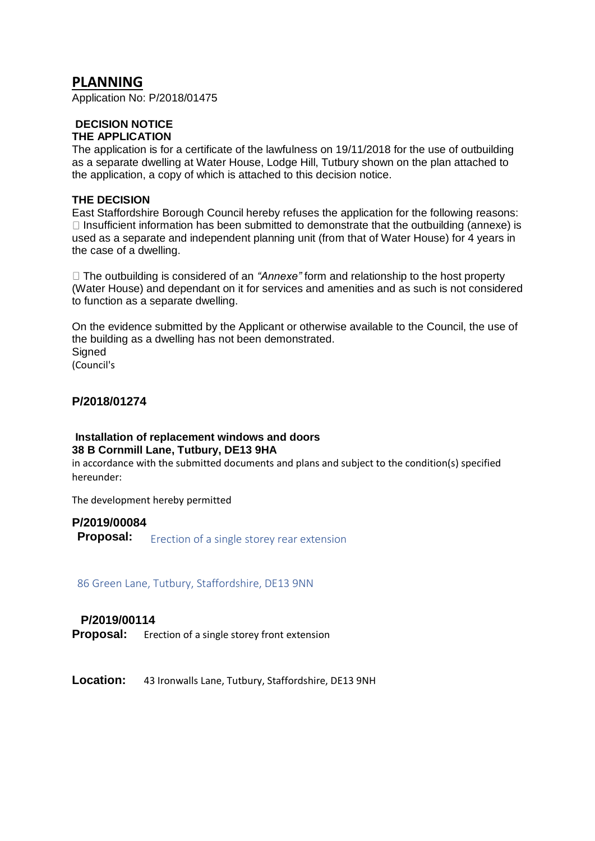### **PLANNING**

Application No: P/2018/01475

### **DECISION NOTICE**

### **THE APPLICATION**

The application is for a certificate of the lawfulness on 19/11/2018 for the use of outbuilding as a separate dwelling at Water House, Lodge Hill, Tutbury shown on the plan attached to the application, a copy of which is attached to this decision notice.

### **THE DECISION**

East Staffordshire Borough Council hereby refuses the application for the following reasons:  $\Box$  Insufficient information has been submitted to demonstrate that the outbuilding (annexe) is used as a separate and independent planning unit (from that of Water House) for 4 years in the case of a dwelling.

The outbuilding is considered of an *"Annexe"* form and relationship to the host property (Water House) and dependant on it for services and amenities and as such is not considered to function as a separate dwelling.

On the evidence submitted by the Applicant or otherwise available to the Council, the use of the building as a dwelling has not been demonstrated. **Signed** (Council's

### **P/2018/01274**

### **Installation of replacement windows and doors 38 B Cornmill Lane, Tutbury, DE13 9HA**

in accordance with the submitted documents and plans and subject to the condition(s) specified hereunder:

The development hereby permitted

# **P/2019/00084 Proposal:** Erection of a single storey rear extension

86 Green Lane, Tutbury, Staffordshire, DE13 9NN

### **P/2019/00114**

**Proposal:** Erection of a single storey front extension

**Location:** 43 Ironwalls Lane, Tutbury, Staffordshire, DE13 9NH